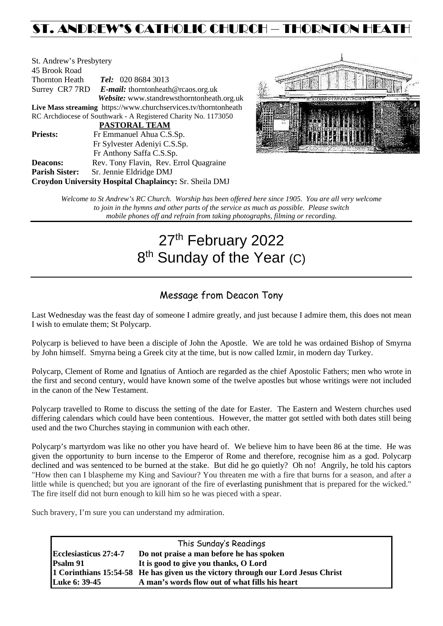## ST. ANDREW'S CATHOLIC CHURCH – THORNTON HEATH

| St. Andrew's Presbytery |                                                                 |  |  |  |
|-------------------------|-----------------------------------------------------------------|--|--|--|
| 45 Brook Road           |                                                                 |  |  |  |
| Thornton Heath          | <b>Tel:</b> 020 8684 3013                                       |  |  |  |
|                         | Surrey CR7 7RD E-mail: thorntonheath@rcaos.org.uk               |  |  |  |
|                         | Website: www.standrewsthorntonheath.org.uk                      |  |  |  |
|                         | Live Mass streaming https://www.churchservices.tv/thorntonheath |  |  |  |
|                         | RC Archdiocese of Southwark - A Registered Charity No. 1173050  |  |  |  |
|                         | <b>PASTORAL TEAM</b>                                            |  |  |  |
| <b>Priests:</b>         | Fr Emmanuel Ahua C.S.Sp.                                        |  |  |  |
|                         | Fr Sylvester Adeniyi C.S.Sp.                                    |  |  |  |
|                         | Fr Anthony Saffa C.S.Sp.                                        |  |  |  |
| <b>Deacons:</b>         | Rev. Tony Flavin, Rev. Errol Quagraine                          |  |  |  |
| <b>Parish Sister:</b>   | Sr. Jennie Eldridge DMJ                                         |  |  |  |
|                         | Croydon University Hospital Chaplaincy: Sr. Sheila DMJ          |  |  |  |



*Welcome to St Andrew's RC Church. Worship has been offered here since 1905. You are all very welcome to join in the hymns and other parts of the service as much as possible. Please switch mobile phones off and refrain from taking photographs, filming or recording.*

# 27<sup>th</sup> February 2022 8<sup>th</sup> Sunday of the Year (C)

## Message from Deacon Tony

Last Wednesday was the feast day of someone I admire greatly, and just because I admire them, this does not mean I wish to emulate them; St Polycarp.

Polycarp is believed to have been a disciple of John the Apostle. We are told he was ordained Bishop of Smyrna by John himself. Smyrna being a Greek city at the time, but is now called Izmir, in modern day Turkey.

Polycarp, Clement of Rome and Ignatius of Antioch are regarded as the chief Apostolic Fathers; men who wrote in the first and second century, would have known some of the twelve apostles but whose writings were not included in the canon of the New Testament.

Polycarp travelled to Rome to discuss the setting of the date for Easter. The Eastern and Western churches used differing calendars which could have been contentious. However, the matter got settled with both dates still being used and the two Churches staying in communion with each other.

Polycarp's martyrdom was like no other you have heard of. We believe him to have been 86 at the time. He was given the opportunity to burn incense to the Emperor of Rome and therefore, recognise him as a god. Polycarp declined and was sentenced to be burned at the stake. But did he go quietly? Oh no! Angrily, he told his captors "How then can I blaspheme my King and Saviour? You threaten me with a fire that burns for a season, and after a little while is quenched; but you are ignorant of the fire of everlasting punishment that is prepared for the wicked." The fire itself did not burn enough to kill him so he was pieced with a spear.

Such bravery, I'm sure you can understand my admiration.

| This Sunday's Readings |                                                                                  |  |  |  |
|------------------------|----------------------------------------------------------------------------------|--|--|--|
| Ecclesiasticus 27:4-7  | Do not praise a man before he has spoken                                         |  |  |  |
| Psalm 91               | It is good to give you thanks, O Lord                                            |  |  |  |
|                        | 1 Corinthians 15:54-58 He has given us the victory through our Lord Jesus Christ |  |  |  |
| Luke 6: 39-45          | A man's words flow out of what fills his heart                                   |  |  |  |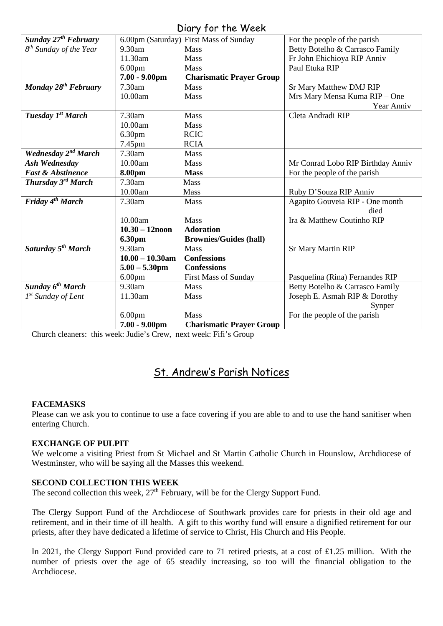### Diary for the Week

| UNIY JUI IIIC WEEN                     |                    |                                        |                                   |  |  |
|----------------------------------------|--------------------|----------------------------------------|-----------------------------------|--|--|
| <b>Sunday 27<sup>th</sup> February</b> |                    | 6.00pm (Saturday) First Mass of Sunday | For the people of the parish      |  |  |
| 8 <sup>th</sup> Sunday of the Year     | 9.30am             | <b>Mass</b>                            | Betty Botelho & Carrasco Family   |  |  |
|                                        | 11.30am            | <b>Mass</b>                            | Fr John Ehichioya RIP Anniv       |  |  |
|                                        | 6.00 <sub>pm</sub> | Mass                                   | Paul Etuka RIP                    |  |  |
|                                        | $7.00 - 9.00$ pm   | <b>Charismatic Prayer Group</b>        |                                   |  |  |
| Monday 28 <sup>th</sup> February       | 7.30am             | Mass                                   | <b>Sr Mary Matthew DMJ RIP</b>    |  |  |
|                                        | 10.00am            | Mass                                   | Mrs Mary Mensa Kuma RIP - One     |  |  |
|                                        |                    |                                        | Year Anniv                        |  |  |
| Tuesday 1st March                      | 7.30am             | Mass                                   | Cleta Andradi RIP                 |  |  |
|                                        | 10.00am            | Mass                                   |                                   |  |  |
|                                        | 6.30 <sub>pm</sub> | <b>RCIC</b>                            |                                   |  |  |
|                                        | 7.45pm             | <b>RCIA</b>                            |                                   |  |  |
| Wednesday 2 <sup>nd</sup> March        | 7.30am             | Mass                                   |                                   |  |  |
| Ash Wednesday                          | 10.00am            | Mass                                   | Mr Conrad Lobo RIP Birthday Anniv |  |  |
| <b>Fast &amp; Abstinence</b>           | 8.00pm             | <b>Mass</b>                            | For the people of the parish      |  |  |
| Thursday 3 <sup>rd</sup> March         | 7.30am             | Mass                                   |                                   |  |  |
|                                        | 10.00am            | Mass                                   | Ruby D'Souza RIP Anniv            |  |  |
| Friday 4 <sup>th</sup> March           | 7.30am             | Mass                                   | Agapito Gouveia RIP - One month   |  |  |
|                                        |                    |                                        | died                              |  |  |
|                                        | 10.00am            | <b>Mass</b>                            | Ira & Matthew Coutinho RIP        |  |  |
|                                        | $10.30 - 12$ noon  | <b>Adoration</b>                       |                                   |  |  |
|                                        | 6.30pm             | <b>Brownies/Guides (hall)</b>          |                                   |  |  |
| Saturday 5 <sup>th</sup> March         | 9.30am             | Mass                                   | <b>Sr Mary Martin RIP</b>         |  |  |
|                                        | $10.00 - 10.30$ am | <b>Confessions</b>                     |                                   |  |  |
|                                        | $5.00 - 5.30$ pm   | <b>Confessions</b>                     |                                   |  |  |
|                                        | 6.00 <sub>pm</sub> | <b>First Mass of Sunday</b>            | Pasquelina (Rina) Fernandes RIP   |  |  |
| Sunday 6 <sup>th</sup> March           | 9.30am             | Mass                                   | Betty Botelho & Carrasco Family   |  |  |
| $1^{st}$ Sunday of Lent                | 11.30am            | Mass                                   | Joseph E. Asmah RIP & Dorothy     |  |  |
|                                        |                    |                                        | Synper                            |  |  |
|                                        | 6.00 <sub>pm</sub> | <b>Mass</b>                            | For the people of the parish      |  |  |
|                                        | $7.00 - 9.00$ pm   | <b>Charismatic Prayer Group</b>        |                                   |  |  |

Church cleaners: this week: Judie's Crew, next week: Fifi's Group

## St. Andrew's Parish Notices

#### **FACEMASKS**

Please can we ask you to continue to use a face covering if you are able to and to use the hand sanitiser when entering Church.

#### **EXCHANGE OF PULPIT**

We welcome a visiting Priest from St Michael and St Martin Catholic Church in Hounslow, Archdiocese of Westminster, who will be saying all the Masses this weekend.

#### **SECOND COLLECTION THIS WEEK**

The second collection this week,  $27<sup>th</sup>$  February, will be for the Clergy Support Fund.

The Clergy Support Fund of the Archdiocese of Southwark provides care for priests in their old age and retirement, and in their time of ill health. A gift to this worthy fund will ensure a dignified retirement for our priests, after they have dedicated a lifetime of service to Christ, His Church and His People.

In 2021, the Clergy Support Fund provided care to 71 retired priests, at a cost of £1.25 million. With the number of priests over the age of 65 steadily increasing, so too will the financial obligation to the Archdiocese.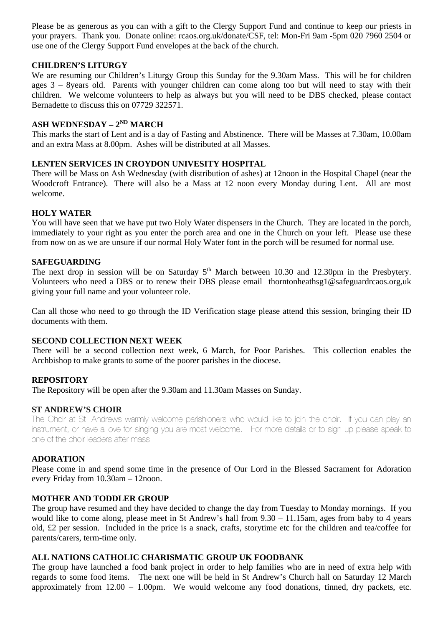Please be as generous as you can with a gift to the Clergy Support Fund and continue to keep our priests in your prayers. Thank you. Donate online: rcaos.org.uk/donate/CSF, tel: Mon-Fri 9am -5pm 020 7960 2504 or use one of the Clergy Support Fund envelopes at the back of the church.

#### **CHILDREN'S LITURGY**

We are resuming our Children's Liturgy Group this Sunday for the 9.30am Mass. This will be for children ages 3 – 8years old. Parents with younger children can come along too but will need to stay with their children. We welcome volunteers to help as always but you will need to be DBS checked, please contact Bernadette to discuss this on 07729 322571.

#### **ASH WEDNESDAY – 2ND MARCH**

This marks the start of Lent and is a day of Fasting and Abstinence. There will be Masses at 7.30am, 10.00am and an extra Mass at 8.00pm. Ashes will be distributed at all Masses.

#### **LENTEN SERVICES IN CROYDON UNIVESITY HOSPITAL**

There will be Mass on Ash Wednesday (with distribution of ashes) at 12noon in the Hospital Chapel (near the Woodcroft Entrance). There will also be a Mass at 12 noon every Monday during Lent. All are most welcome.

#### **HOLY WATER**

You will have seen that we have put two Holy Water dispensers in the Church. They are located in the porch, immediately to your right as you enter the porch area and one in the Church on your left. Please use these from now on as we are unsure if our normal Holy Water font in the porch will be resumed for normal use.

#### **SAFEGUARDING**

The next drop in session will be on Saturday 5<sup>th</sup> March between 10.30 and 12.30pm in the Presbytery. Volunteers who need a DBS or to renew their DBS please email [thorntonheathsg1@safeguardrcaos.org,uk](mailto:thorntonheathsg1@safeguardrcaos.org,uk)  giving your full name and your volunteer role.

Can all those who need to go through the ID Verification stage please attend this session, bringing their ID documents with them.

#### **SECOND COLLECTION NEXT WEEK**

There will be a second collection next week, 6 March, for Poor Parishes. This collection enables the Archbishop to make grants to some of the poorer parishes in the diocese.

#### **REPOSITORY**

The Repository will be open after the 9.30am and 11.30am Masses on Sunday.

#### **ST ANDREW'S CHOIR**

The Choir at St. Andrews warmly welcome parishioners who would like to join the choir. If you can play an instrument, or have a love for singing you are most welcome. For more details or to sign up please speak to one of the choir leaders after mass.

#### **ADORATION**

Please come in and spend some time in the presence of Our Lord in the Blessed Sacrament for Adoration every Friday from 10.30am – 12noon.

#### **MOTHER AND TODDLER GROUP**

The group have resumed and they have decided to change the day from Tuesday to Monday mornings. If you would like to come along, please meet in St Andrew's hall from 9.30 – 11.15am, ages from baby to 4 years old, £2 per session. Included in the price is a snack, crafts, storytime etc for the children and tea/coffee for parents/carers, term-time only.

#### **ALL NATIONS CATHOLIC CHARISMATIC GROUP UK FOODBANK**

The group have launched a food bank project in order to help families who are in need of extra help with regards to some food items. The next one will be held in St Andrew's Church hall on Saturday 12 March approximately from 12.00 – 1.00pm. We would welcome any food donations, tinned, dry packets, etc.